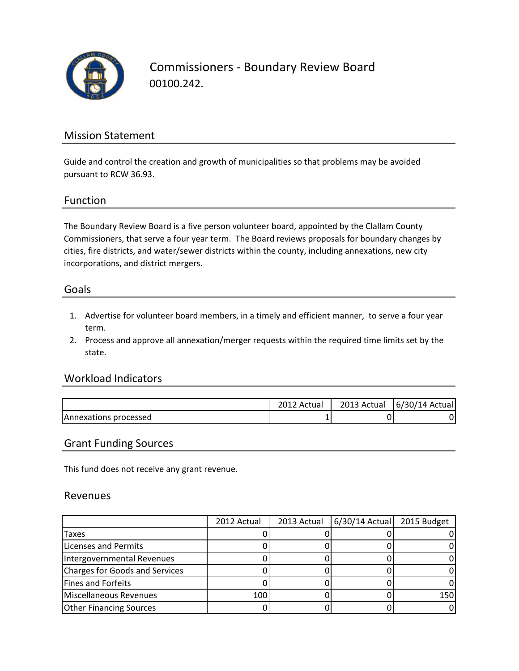

Commissioners - Boundary Review Board 00100.242.

## Mission Statement

Guide and control the creation and growth of municipalities so that problems may be avoided pursuant to RCW 36.93.

### Function

The Boundary Review Board is a five person volunteer board, appointed by the Clallam County Commissioners, that serve a four year term. The Board reviews proposals for boundary changes by cities, fire districts, and water/sewer districts within the county, including annexations, new city incorporations, and district mergers.

#### Goals

- 1. Advertise for volunteer board members, in a timely and efficient manner, to serve a four year term.
- 2. Process and approve all annexation/merger requests within the required time limits set by the state.

### Workload Indicators

|                       | Actual   | 2013 Actual | 6/30/<br>/14 Actual |
|-----------------------|----------|-------------|---------------------|
| Annexations processed | <b>.</b> |             | J'                  |

#### Grant Funding Sources

This fund does not receive any grant revenue.

#### Revenues

|                                | 2012 Actual | 2013 Actual | $6/30/14$ Actual | 2015 Budget |
|--------------------------------|-------------|-------------|------------------|-------------|
| Taxes                          |             |             |                  |             |
| Licenses and Permits           |             |             |                  |             |
| Intergovernmental Revenues     |             |             |                  |             |
| Charges for Goods and Services |             |             |                  |             |
| <b>Fines and Forfeits</b>      |             |             |                  |             |
| Miscellaneous Revenues         | 100         |             |                  | 150         |
| <b>Other Financing Sources</b> |             |             |                  |             |